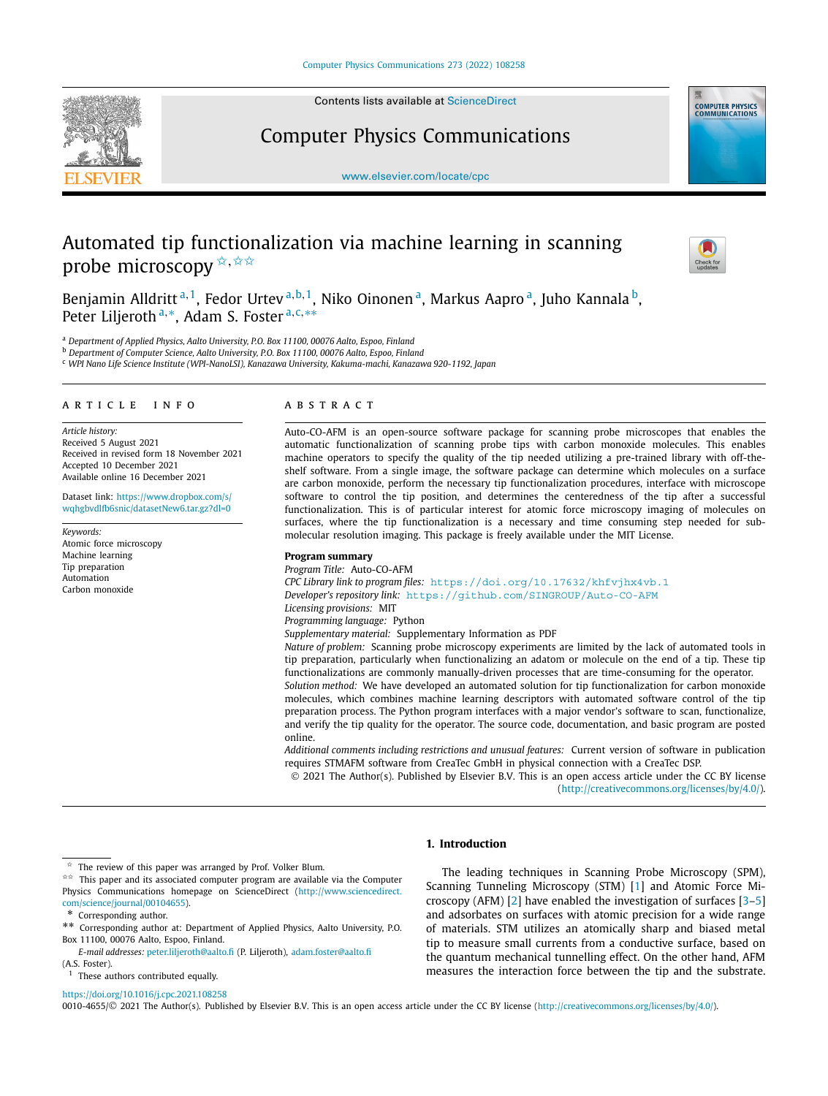

Contents lists available at [ScienceDirect](http://www.ScienceDirect.com/)

Computer Physics Communications



[www.elsevier.com/locate/cpc](http://www.elsevier.com/locate/cpc)

# Automated tip functionalization via machine learning in scanning probe microscopy  $\overrightarrow{x}$ ,  $\overrightarrow{x} \overrightarrow{x}$



Benjamin Alldritt<sup>a, 1</sup>, Fedor Urtev<sup>a, b, 1</sup>, Niko Oinonen<sup>a</sup>, Markus Aapro<sup>a</sup>, Juho Kannala<sup>b</sup>, Peter Liljeroth <sup>a</sup>*,*∗, Adam S. Foster <sup>a</sup>*,*c*,*∗∗

<sup>a</sup> *Department of Applied Physics, Aalto University, P.O. Box 11100, 00076 Aalto, Espoo, Finland*

<sup>b</sup> *Department of Computer Science, Aalto University, P.O. Box 11100, 00076 Aalto, Espoo, Finland*

<sup>c</sup> *WPI Nano Life Science Institute (WPI-NanoLSI), Kanazawa University, Kakuma-machi, Kanazawa 920-1192, Japan*

#### A R T I C L E I N F O A B S T R A C T

*Article history:* Received 5 August 2021 Received in revised form 18 November 2021 Accepted 10 December 2021 Available online 16 December 2021

Dataset link: [https://www.dropbox.com/s/](https://www.dropbox.com/s/wqhgbvdlfb6snic/datasetNew6.tar.gz?dl=0) [wqhgbvdlfb6snic/datasetNew6.tar.gz?dl=0](https://www.dropbox.com/s/wqhgbvdlfb6snic/datasetNew6.tar.gz?dl=0)

*Keywords:* Atomic force microscopy Machine learning Tip preparation Automation Carbon monoxide

Auto-CO-AFM is an open-source software package for scanning probe microscopes that enables the automatic functionalization of scanning probe tips with carbon monoxide molecules. This enables machine operators to specify the quality of the tip needed utilizing a pre-trained library with off-theshelf software. From a single image, the software package can determine which molecules on a surface are carbon monoxide, perform the necessary tip functionalization procedures, interface with microscope software to control the tip position, and determines the centeredness of the tip after a successful functionalization. This is of particular interest for atomic force microscopy imaging of molecules on surfaces, where the tip functionalization is a necessary and time consuming step needed for submolecular resolution imaging. This package is freely available under the MIT License.

#### **Program summary**

*Program Title:* Auto-CO-AFM *CPC Library link to program files:* <https://doi.org/10.17632/khfvjhx4vb.1> *Developer's repository link:* <https://github.com/SINGROUP/Auto-CO-AFM> *Licensing provisions:* MIT *Programming language:* Python *Supplementary material:* Supplementary Information as PDF *Nature of problem:* Scanning probe microscopy experiments are limited by the lack of automated tools in tip preparation, particularly when functionalizing an adatom or molecule on the end of a tip. These tip functionalizations are commonly manually-driven processes that are time-consuming for the operator. *Solution method:* We have developed an automated solution for tip functionalization for carbon monoxide

molecules, which combines machine learning descriptors with automated software control of the tip preparation process. The Python program interfaces with a major vendor's software to scan, functionalize, and verify the tip quality for the operator. The source code, documentation, and basic program are posted online.

*Additional comments including restrictions and unusual features:* Current version of software in publication requires STMAFM software from CreaTec GmbH in physical connection with a CreaTec DSP.

© 2021 The Author(s). Published by Elsevier B.V. This is an open access article under the CC BY license (<http://creativecommons.org/licenses/by/4.0/>).

# **1. Introduction**

*E-mail addresses:* [peter.liljeroth@aalto.fi](mailto:peter.liljeroth@aalto.fi) (P. Liljeroth), [adam.foster@aalto.fi](mailto:adam.foster@aalto.fi) (A.S. Foster).

#### <https://doi.org/10.1016/j.cpc.2021.108258>

The leading techniques in Scanning Probe Microscopy (SPM), Scanning Tunneling Microscopy (STM) [[1](#page-5-0)] and Atomic Force Microscopy (AFM) [[2](#page-5-0)] have enabled the investigation of surfaces [[3–5\]](#page-5-0) and adsorbates on surfaces with atomic precision for a wide range of materials. STM utilizes an atomically sharp and biased metal tip to measure small currents from a conductive surface, based on the quantum mechanical tunnelling effect. On the other hand, AFM measures the interaction force between the tip and the substrate.

0010-4655/© 2021 The Author(s). Published by Elsevier B.V. This is an open access article under the CC BY license [\(http://creativecommons.org/licenses/by/4.0/\)](http://creativecommons.org/licenses/by/4.0/).

The review of this paper was arranged by Prof. Volker Blum.

 $\overrightarrow{A}$ <sup> $\overrightarrow{A}$ </sup> This paper and its associated computer program are available via the Computer Physics Communications homepage on ScienceDirect [\(http://www.sciencedirect.](http://www.sciencedirect.com/science/journal/00104655) [com/science/journal/00104655\)](http://www.sciencedirect.com/science/journal/00104655).

<sup>\*</sup> Corresponding author.

<sup>\*\*</sup> Corresponding author at: Department of Applied Physics, Aalto University, P.O. Box 11100, 00076 Aalto, Espoo, Finland.

<sup>&</sup>lt;sup>1</sup> These authors contributed equally.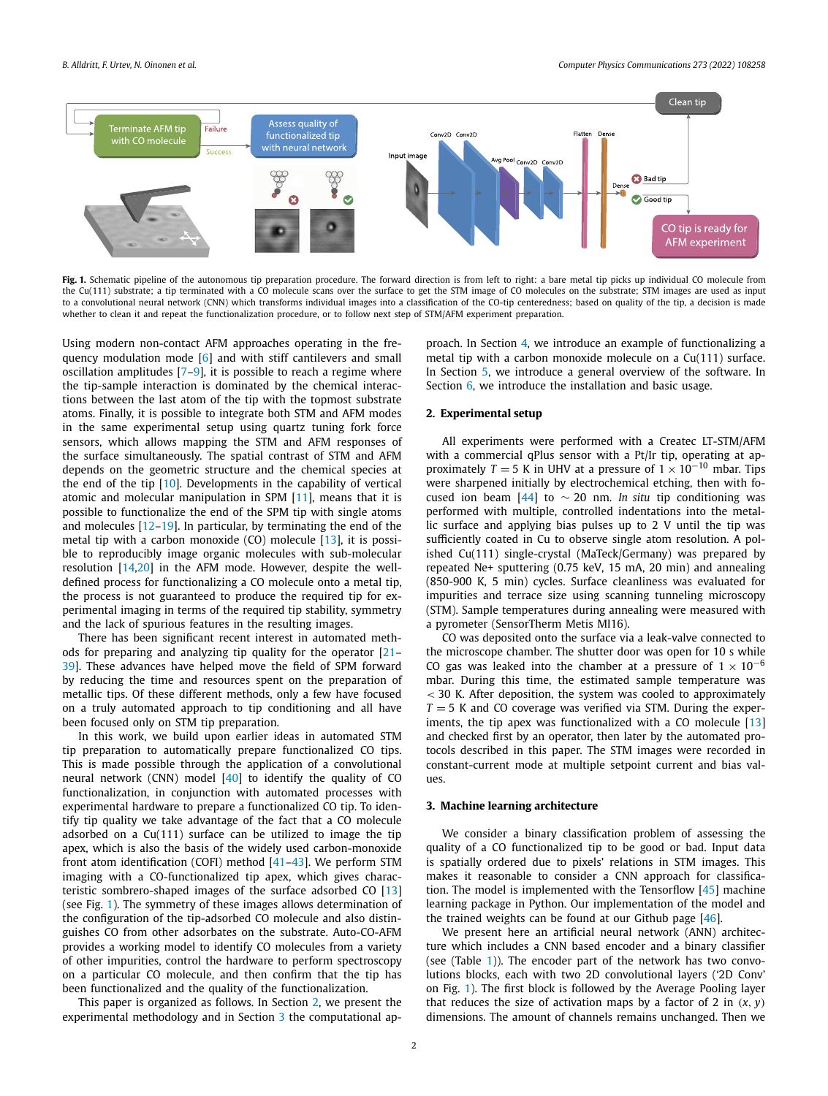<span id="page-1-0"></span>

Fig. 1. Schematic pipeline of the autonomous tip preparation procedure. The forward direction is from left to right: a bare metal tip picks up individual CO molecule from the Cu(111) substrate; a tip terminated with a CO molecule scans over the surface to get the STM image of CO molecules on the substrate; STM images are used as input to a convolutional neural network (CNN) which transforms individual images into a classification of the CO-tip centeredness; based on quality of the tip, a decision is made whether to clean it and repeat the functionalization procedure, or to follow next step of STM/AFM experiment preparation.

Using modern non-contact AFM approaches operating in the frequency modulation mode [\[6\]](#page-5-0) and with stiff cantilevers and small oscillation amplitudes  $[7-9]$  $[7-9]$  $[7-9]$  $[7-9]$ , it is possible to reach a regime where the tip-sample interaction is dominated by the chemical interactions between the last atom of the tip with the topmost substrate atoms. Finally, it is possible to integrate both STM and AFM modes in the same experimental setup using quartz tuning fork force sensors, which allows mapping the STM and AFM responses of the surface simultaneously. The spatial contrast of STM and AFM depends on the geometric structure and the chemical species at the end of the tip [\[10](#page-5-0)]. Developments in the capability of vertical atomic and molecular manipulation in SPM [\[11](#page-5-0)], means that it is possible to functionalize the end of the SPM tip with single atoms and molecules [[12](#page-5-0)–[19\]](#page-5-0). In particular, by terminating the end of the metal tip with a carbon monoxide  $(CO)$  molecule  $[13]$ , it is possible to reproducibly image organic molecules with sub-molecular resolution [[14,20](#page-5-0)] in the AFM mode. However, despite the welldefined process for functionalizing a CO molecule onto a metal tip, the process is not guaranteed to produce the required tip for experimental imaging in terms of the required tip stability, symmetry and the lack of spurious features in the resulting images.

There has been significant recent interest in automated methods for preparing and analyzing tip quality for the operator [[21](#page-5-0)– [39\]](#page-5-0). These advances have helped move the field of SPM forward by reducing the time and resources spent on the preparation of metallic tips. Of these different methods, only a few have focused on a truly automated approach to tip conditioning and all have been focused only on STM tip preparation.

In this work, we build upon earlier ideas in automated STM tip preparation to automatically prepare functionalized CO tips. This is made possible through the application of a convolutional neural network (CNN) model [\[40\]](#page-5-0) to identify the quality of CO functionalization, in conjunction with automated processes with experimental hardware to prepare a functionalized CO tip. To identify tip quality we take advantage of the fact that a CO molecule adsorbed on a Cu(111) surface can be utilized to image the tip apex, which is also the basis of the widely used carbon-monoxide front atom identification (COFI) method [\[41–43\]](#page-5-0). We perform STM imaging with a CO-functionalized tip apex, which gives characteristic sombrero-shaped images of the surface adsorbed CO [\[13\]](#page-5-0) (see Fig. 1). The symmetry of these images allows determination of the configuration of the tip-adsorbed CO molecule and also distinguishes CO from other adsorbates on the substrate. Auto-CO-AFM provides a working model to identify CO molecules from a variety of other impurities, control the hardware to perform spectroscopy on a particular CO molecule, and then confirm that the tip has been functionalized and the quality of the functionalization.

This paper is organized as follows. In Section 2, we present the experimental methodology and in Section 3 the computational approach. In Section [4,](#page-2-0) we introduce an example of functionalizing a metal tip with a carbon monoxide molecule on a Cu(111) surface. In Section [5,](#page-3-0) we introduce a general overview of the software. In Section [6](#page-4-0), we introduce the installation and basic usage.

#### **2. Experimental setup**

All experiments were performed with a Createc LT-STM/AFM with a commercial qPlus sensor with a Pt/Ir tip, operating at approximately *T* = 5 K in UHV at a pressure of  $1 \times 10^{-10}$  mbar. Tips were sharpened initially by electrochemical etching, then with focused ion beam [\[44](#page-5-0)] to ∼ 20 nm. *In situ* tip conditioning was performed with multiple, controlled indentations into the metallic surface and applying bias pulses up to 2 V until the tip was sufficiently coated in Cu to observe single atom resolution. A polished Cu(111) single-crystal (MaTeck/Germany) was prepared by repeated Ne+ sputtering (0.75 keV, 15 mA, 20 min) and annealing (850-900 K, 5 min) cycles. Surface cleanliness was evaluated for impurities and terrace size using scanning tunneling microscopy (STM). Sample temperatures during annealing were measured with a pyrometer (SensorTherm Metis MI16).

CO was deposited onto the surface via a leak-valve connected to the microscope chamber. The shutter door was open for 10 s while CO gas was leaked into the chamber at a pressure of  $1 \times 10^{-6}$ mbar. During this time, the estimated sample temperature was *<* 30 K. After deposition, the system was cooled to approximately  $T = 5$  K and CO coverage was verified via STM. During the experiments, the tip apex was functionalized with a CO molecule [\[13\]](#page-5-0) and checked first by an operator, then later by the automated protocols described in this paper. The STM images were recorded in constant-current mode at multiple setpoint current and bias values.

#### **3. Machine learning architecture**

We consider a binary classification problem of assessing the quality of a CO functionalized tip to be good or bad. Input data is spatially ordered due to pixels' relations in STM images. This makes it reasonable to consider a CNN approach for classification. The model is implemented with the Tensorflow [\[45](#page-5-0)] machine learning package in Python. Our implementation of the model and the trained weights can be found at our Github page [\[46](#page-5-0)].

We present here an artificial neural network (ANN) architecture which includes a CNN based encoder and a binary classifier (see (Table [1\)](#page-2-0)). The encoder part of the network has two convolutions blocks, each with two 2D convolutional layers ('2D Conv' on Fig. 1). The first block is followed by the Average Pooling layer that reduces the size of activation maps by a factor of 2 in  $(x, y)$ dimensions. The amount of channels remains unchanged. Then we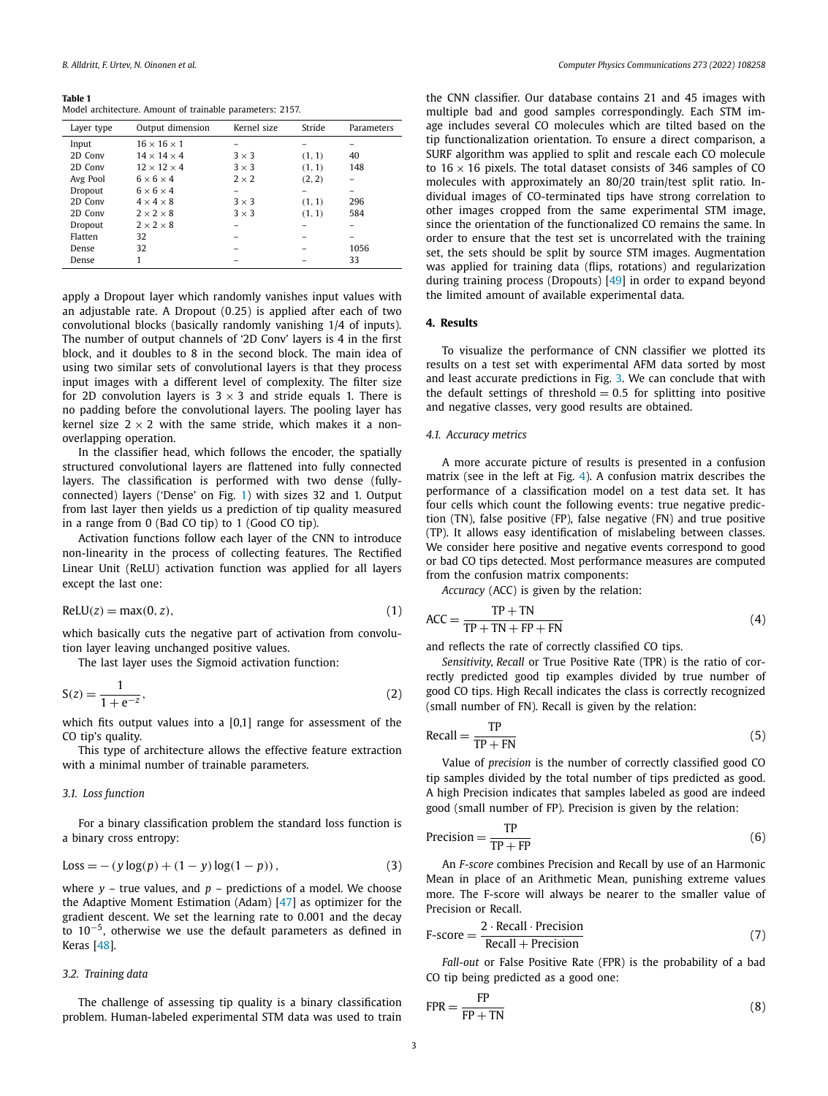#### <span id="page-2-0"></span>**Table 1**

Model architecture. Amount of trainable parameters: 2157.

| Layer type | Output dimension        | Kernel size  | Stride | Parameters |
|------------|-------------------------|--------------|--------|------------|
| Input      | $16 \times 16 \times 1$ |              |        |            |
| 2D Conv    | $14 \times 14 \times 4$ | $3 \times 3$ | (1, 1) | 40         |
| 2D Conv    | $12 \times 12 \times 4$ | $3 \times 3$ | (1, 1) | 148        |
| Avg Pool   | $6 \times 6 \times 4$   | $2 \times 2$ | (2, 2) |            |
| Dropout    | $6 \times 6 \times 4$   |              |        |            |
| 2D Conv    | $4 \times 4 \times 8$   | $3 \times 3$ | (1, 1) | 296        |
| 2D Conv    | $2 \times 2 \times 8$   | $3 \times 3$ | (1, 1) | 584        |
| Dropout    | $2 \times 2 \times 8$   |              |        |            |
| Flatten    | 32                      |              |        |            |
| Dense      | 32                      |              |        | 1056       |
| Dense      |                         |              |        | 33         |

apply a Dropout layer which randomly vanishes input values with an adjustable rate. A Dropout (0*.*25) is applied after each of two convolutional blocks (basically randomly vanishing 1/4 of inputs). The number of output channels of '2D Conv' layers is 4 in the first block, and it doubles to 8 in the second block. The main idea of using two similar sets of convolutional layers is that they process input images with a different level of complexity. The filter size for 2D convolution layers is  $3 \times 3$  and stride equals 1. There is no padding before the convolutional layers. The pooling layer has kernel size  $2 \times 2$  with the same stride, which makes it a nonoverlapping operation.

In the classifier head, which follows the encoder, the spatially structured convolutional layers are flattened into fully connected layers. The classification is performed with two dense (fullyconnected) layers ('Dense' on Fig. [1](#page-1-0)) with sizes 32 and 1. Output from last layer then yields us a prediction of tip quality measured in a range from 0 (Bad CO tip) to 1 (Good CO tip).

Activation functions follow each layer of the CNN to introduce non-linearity in the process of collecting features. The Rectified Linear Unit (ReLU) activation function was applied for all layers except the last one:

$$
ReLU(z) = max(0, z),
$$
\n(1)

which basically cuts the negative part of activation from convolution layer leaving unchanged positive values.

The last layer uses the Sigmoid activation function:

$$
S(z) = \frac{1}{1 + e^{-z}},\tag{2}
$$

which fits output values into a [0,1] range for assessment of the CO tip's quality.

This type of architecture allows the effective feature extraction with a minimal number of trainable parameters.

#### *3.1. Loss function*

For a binary classification problem the standard loss function is a binary cross entropy:

$$
Loss = - (y \log(p) + (1 - y) \log(1 - p)),
$$
\n(3)

where *y* – true values, and *p* – predictions of a model. We choose the Adaptive Moment Estimation (Adam) [\[47\]](#page-5-0) as optimizer for the gradient descent. We set the learning rate to 0.001 and the decay to 10<sup>−</sup>5, otherwise we use the default parameters as defined in Keras [\[48\]](#page-5-0).

#### *3.2. Training data*

The challenge of assessing tip quality is a binary classification problem. Human-labeled experimental STM data was used to train

the CNN classifier. Our database contains 21 and 45 images with multiple bad and good samples correspondingly. Each STM image includes several CO molecules which are tilted based on the tip functionalization orientation. To ensure a direct comparison, a SURF algorithm was applied to split and rescale each CO molecule to  $16 \times 16$  pixels. The total dataset consists of 346 samples of CO molecules with approximately an 80/20 train/test split ratio. Individual images of CO-terminated tips have strong correlation to other images cropped from the same experimental STM image, since the orientation of the functionalized CO remains the same. In order to ensure that the test set is uncorrelated with the training set, the sets should be split by source STM images. Augmentation was applied for training data (flips, rotations) and regularization during training process (Dropouts) [\[49](#page-5-0)] in order to expand beyond the limited amount of available experimental data.

## **4. Results**

To visualize the performance of CNN classifier we plotted its results on a test set with experimental AFM data sorted by most and least accurate predictions in Fig. [3](#page-3-0). We can conclude that with the default settings of threshold  $= 0.5$  for splitting into positive and negative classes, very good results are obtained.

#### *4.1. Accuracy metrics*

A more accurate picture of results is presented in a confusion matrix (see in the left at Fig. [4\)](#page-3-0). A confusion matrix describes the performance of a classification model on a test data set. It has four cells which count the following events: true negative prediction (TN), false positive (FP), false negative (FN) and true positive (TP). It allows easy identification of mislabeling between classes. We consider here positive and negative events correspond to good or bad CO tips detected. Most performance measures are computed from the confusion matrix components:

*Accuracy* (ACC) is given by the relation:

$$
ACC = \frac{TP + TN}{TP + TN + FP + FN}
$$
\n(4)

and reflects the rate of correctly classified CO tips.

*Sensitivity, Recall* or True Positive Rate (TPR) is the ratio of correctly predicted good tip examples divided by true number of good CO tips. High Recall indicates the class is correctly recognized (small number of FN). Recall is given by the relation:

$$
Recall = \frac{TP}{TP + FN}
$$
 (5)

Value of *precision* is the number of correctly classified good CO tip samples divided by the total number of tips predicted as good. A high Precision indicates that samples labeled as good are indeed good (small number of FP). Precision is given by the relation:

$$
Precision = \frac{TP}{TP + FP}
$$
 (6)

An *F-score* combines Precision and Recall by use of an Harmonic Mean in place of an Arithmetic Mean, punishing extreme values more. The F-score will always be nearer to the smaller value of Precision or Recall.

$$
F\text{-score} = \frac{2 \cdot \text{Recall} \cdot \text{Precision}}{\text{Recall} + \text{Precision}} \tag{7}
$$

*Fall-out* or False Positive Rate (FPR) is the probability of a bad CO tip being predicted as a good one:

$$
FPR = \frac{FP}{FP + TN}
$$
 (8)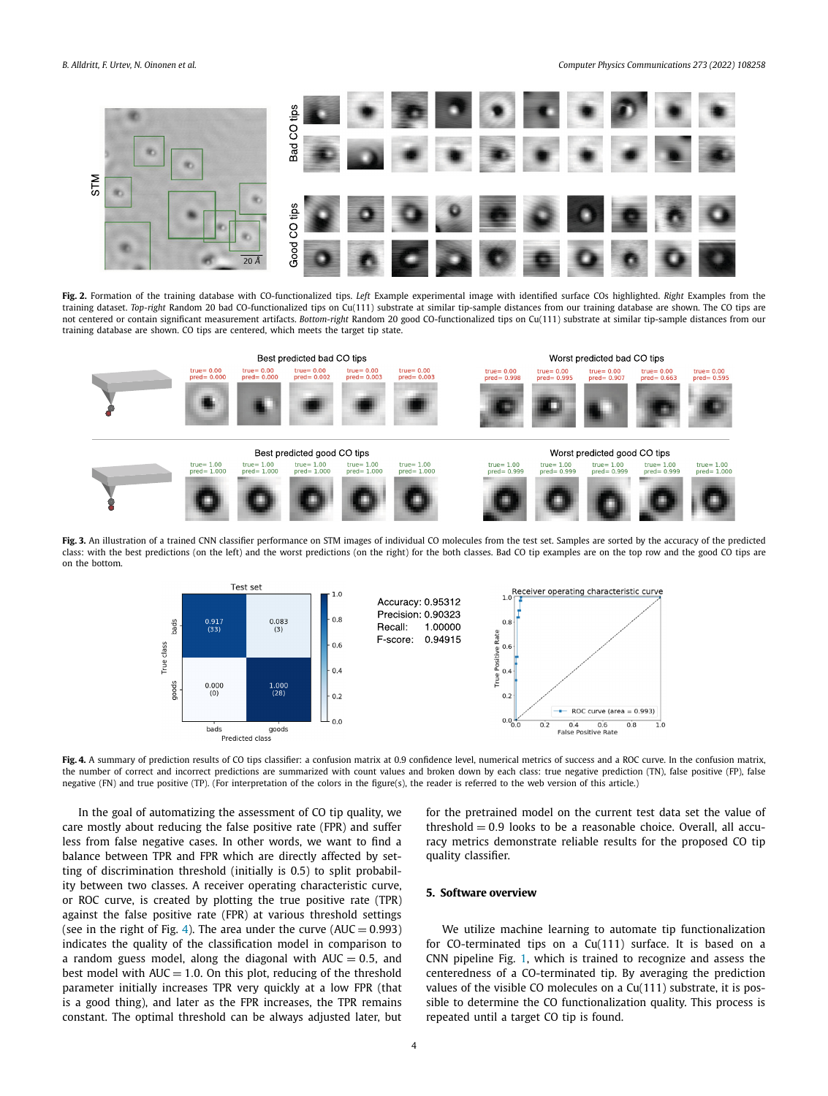<span id="page-3-0"></span>*B. Alldritt, F. Urtev, N. Oinonen et al. Computer Physics Communications 273 (2022) 108258*



**Fig. 2.** Formation of the training database with CO-functionalized tips. *Left* Example experimental image with identified surface COs highlighted. *Right* Examples from the training dataset. *Top-right* Random 20 bad CO-functionalized tips on Cu(111) substrate at similar tip-sample distances from our training database are shown. The CO tips are not centered or contain significant measurement artifacts. *Bottom-right* Random 20 good CO-functionalized tips on Cu(111) substrate at similar tip-sample distances from our training database are shown. CO tips are centered, which meets the target tip state.



Fig. 3. An illustration of a trained CNN classifier performance on STM images of individual CO molecules from the test set. Samples are sorted by the accuracy of the predicted class: with the best predictions (on the left) and the worst predictions (on the right) for the both classes. Bad CO tip examples are on the top row and the good CO tips are on the bottom.



**Fig. 4.** A summary of prediction results of CO tips classifier: a confusion matrix at 0.9 confidence level, numerical metrics of success and a ROC curve. In the confusion matrix, the number of correct and incorrect predictions are summarized with count values and broken down by each class: true negative prediction (TN), false positive (FP), false negative (FN) and true positive (TP). (For interpretation of the colors in the figure(s), the reader is referred to the web version of this article.)

In the goal of automatizing the assessment of CO tip quality, we care mostly about reducing the false positive rate (FPR) and suffer less from false negative cases. In other words, we want to find a balance between TPR and FPR which are directly affected by setting of discrimination threshold (initially is 0.5) to split probability between two classes. A receiver operating characteristic curve, or ROC curve, is created by plotting the true positive rate (TPR) against the false positive rate (FPR) at various threshold settings (see in the right of Fig. 4). The area under the curve  $(AUC = 0.993)$ indicates the quality of the classification model in comparison to a random guess model, along the diagonal with  $AUC = 0.5$ , and best model with  $AUC = 1.0$ . On this plot, reducing of the threshold parameter initially increases TPR very quickly at a low FPR (that is a good thing), and later as the FPR increases, the TPR remains constant. The optimal threshold can be always adjusted later, but

for the pretrained model on the current test data set the value of threshold = 0*.*9 looks to be a reasonable choice. Overall, all accuracy metrics demonstrate reliable results for the proposed CO tip quality classifier.

# **5. Software overview**

We utilize machine learning to automate tip functionalization for CO-terminated tips on a Cu(111) surface. It is based on a CNN pipeline Fig. [1](#page-1-0), which is trained to recognize and assess the centeredness of a CO-terminated tip. By averaging the prediction values of the visible CO molecules on a Cu(111) substrate, it is possible to determine the CO functionalization quality. This process is repeated until a target CO tip is found.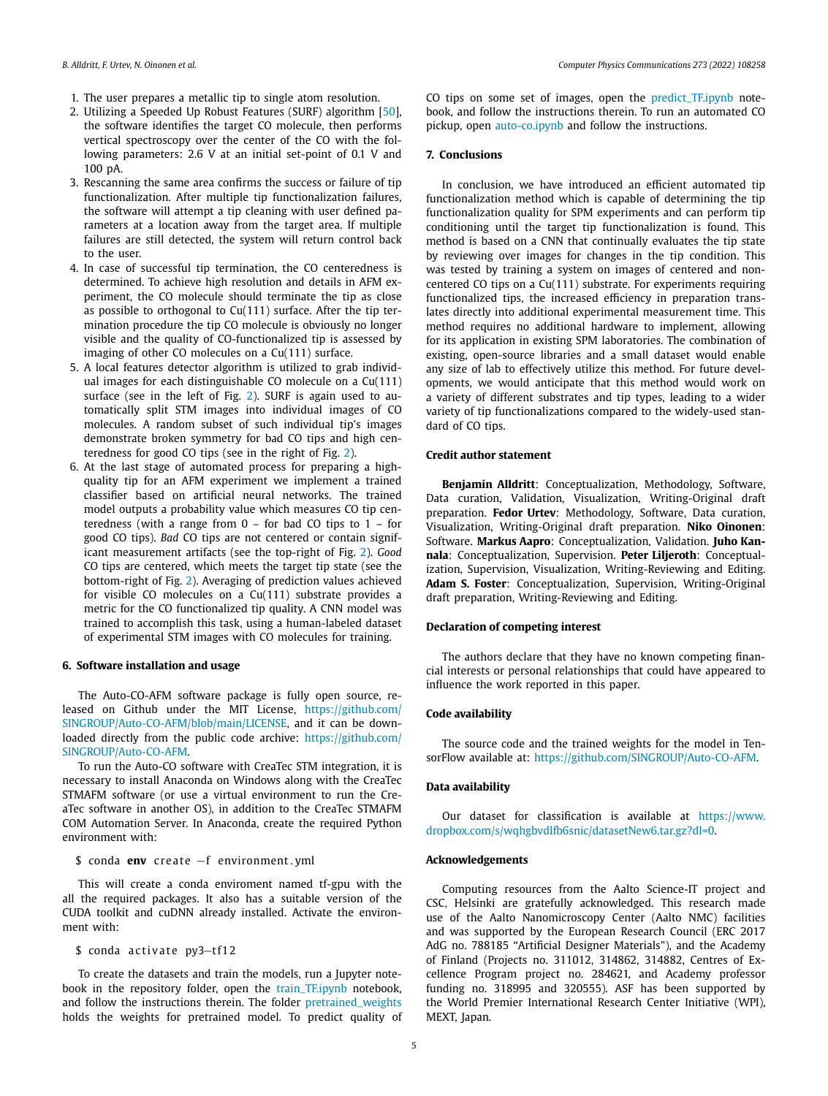- <span id="page-4-0"></span>1. The user prepares a metallic tip to single atom resolution.
- 2. Utilizing a Speeded Up Robust Features (SURF) algorithm [[50\]](#page-5-0), the software identifies the target CO molecule, then performs vertical spectroscopy over the center of the CO with the following parameters: 2.6 V at an initial set-point of 0.1 V and 100 pA.
- 3. Rescanning the same area confirms the success or failure of tip functionalization. After multiple tip functionalization failures, the software will attempt a tip cleaning with user defined parameters at a location away from the target area. If multiple failures are still detected, the system will return control back to the user.
- 4. In case of successful tip termination, the CO centeredness is determined. To achieve high resolution and details in AFM experiment, the CO molecule should terminate the tip as close as possible to orthogonal to Cu(111) surface. After the tip termination procedure the tip CO molecule is obviously no longer visible and the quality of CO-functionalized tip is assessed by imaging of other CO molecules on a Cu(111) surface.
- 5. A local features detector algorithm is utilized to grab individual images for each distinguishable CO molecule on a Cu(111) surface (see in the left of Fig. [2\)](#page-3-0). SURF is again used to automatically split STM images into individual images of CO molecules. A random subset of such individual tip's images demonstrate broken symmetry for bad CO tips and high centeredness for good CO tips (see in the right of Fig. [2\)](#page-3-0).
- 6. At the last stage of automated process for preparing a highquality tip for an AFM experiment we implement a trained classifier based on artificial neural networks. The trained model outputs a probability value which measures CO tip centeredness (with a range from  $0 -$  for bad CO tips to  $1 -$  for good CO tips). *Bad* CO tips are not centered or contain significant measurement artifacts (see the top-right of Fig. [2](#page-3-0)). *Good* CO tips are centered, which meets the target tip state (see the bottom-right of Fig. [2\)](#page-3-0). Averaging of prediction values achieved for visible CO molecules on a Cu(111) substrate provides a metric for the CO functionalized tip quality. A CNN model was trained to accomplish this task, using a human-labeled dataset of experimental STM images with CO molecules for training.

#### **6. Software installation and usage**

The Auto-CO-AFM software package is fully open source, released on Github under the MIT License, [https://github.com/](https://github.com/SINGROUP/Auto-CO-AFM/blob/main/LICENSE) [SINGROUP/Auto-CO-AFM/blob/main/LICENSE,](https://github.com/SINGROUP/Auto-CO-AFM/blob/main/LICENSE) and it can be downloaded directly from the public code archive: [https://github.com/](https://github.com/SINGROUP/Auto-CO-AFM) [SINGROUP/Auto-CO-AFM](https://github.com/SINGROUP/Auto-CO-AFM).

To run the Auto-CO software with CreaTec STM integration, it is necessary to install Anaconda on Windows along with the CreaTec STMAFM software (or use a virtual environment to run the CreaTec software in another OS), in addition to the CreaTec STMAFM COM Automation Server. In Anaconda, create the required Python environment with:

\$ conda **env** create −f environment . yml

This will create a conda enviroment named tf-gpu with the all the required packages. It also has a suitable version of the CUDA toolkit and cuDNN already installed. Activate the environment with:

\$ conda activate py3-tf12

To create the datasets and train the models, run a Jupyter notebook in the repository folder, open the [train\\_TF.ipynb](https://github.com/SINGROUP/Auto-CO-AFM/blob/main/train_TF.ipynb) notebook, and follow the instructions therein. The folder [pretrained\\_weights](https://github.com/SINGROUP/Auto-CO-AFM/tree/main/pretrained_weights) holds the weights for pretrained model. To predict quality of CO tips on some set of images, open the [predict\\_TF.ipynb](https://github.com/SINGROUP/Auto-CO-AFM/blob/main/predict_TF.ipynb) notebook, and follow the instructions therein. To run an automated CO pickup, open [auto-co.ipynb](https://github.com/SINGROUP/Auto-CO-AFM/blob/main/auto-co.ipynb) and follow the instructions.

# **7. Conclusions**

In conclusion, we have introduced an efficient automated tip functionalization method which is capable of determining the tip functionalization quality for SPM experiments and can perform tip conditioning until the target tip functionalization is found. This method is based on a CNN that continually evaluates the tip state by reviewing over images for changes in the tip condition. This was tested by training a system on images of centered and noncentered CO tips on a Cu(111) substrate. For experiments requiring functionalized tips, the increased efficiency in preparation translates directly into additional experimental measurement time. This method requires no additional hardware to implement, allowing for its application in existing SPM laboratories. The combination of existing, open-source libraries and a small dataset would enable any size of lab to effectively utilize this method. For future developments, we would anticipate that this method would work on a variety of different substrates and tip types, leading to a wider variety of tip functionalizations compared to the widely-used standard of CO tips.

# **Credit author statement**

**Benjamin Alldritt**: Conceptualization, Methodology, Software, Data curation, Validation, Visualization, Writing-Original draft preparation. **Fedor Urtev**: Methodology, Software, Data curation, Visualization, Writing-Original draft preparation. **Niko Oinonen**: Software. **Markus Aapro**: Conceptualization, Validation. **Juho Kannala**: Conceptualization, Supervision. **Peter Liljeroth**: Conceptualization, Supervision, Visualization, Writing-Reviewing and Editing. **Adam S. Foster**: Conceptualization, Supervision, Writing-Original draft preparation, Writing-Reviewing and Editing.

# **Declaration of competing interest**

The authors declare that they have no known competing financial interests or personal relationships that could have appeared to influence the work reported in this paper.

#### **Code availability**

The source code and the trained weights for the model in TensorFlow available at: [https://github.com/SINGROUP/Auto-CO-AFM.](https://github.com/SINGROUP/Auto-CO-AFM)

#### **Data availability**

Our dataset for classification is available at [https://www.](https://www.dropbox.com/s/wqhgbvdlfb6snic/datasetNew6.tar.gz?dl=0) [dropbox.com/s/wqhgbvdlfb6snic/datasetNew6.tar.gz?dl=0.](https://www.dropbox.com/s/wqhgbvdlfb6snic/datasetNew6.tar.gz?dl=0)

#### **Acknowledgements**

Computing resources from the Aalto Science-IT project and CSC, Helsinki are gratefully acknowledged. This research made use of the Aalto Nanomicroscopy Center (Aalto NMC) facilities and was supported by the European Research Council (ERC 2017 AdG no. 788185 "Artificial Designer Materials"), and the Academy of Finland (Projects no. 311012, 314862, 314882, Centres of Excellence Program project no. 284621, and Academy professor funding no. 318995 and 320555). ASF has been supported by the World Premier International Research Center Initiative (WPI), MEXT, Japan.